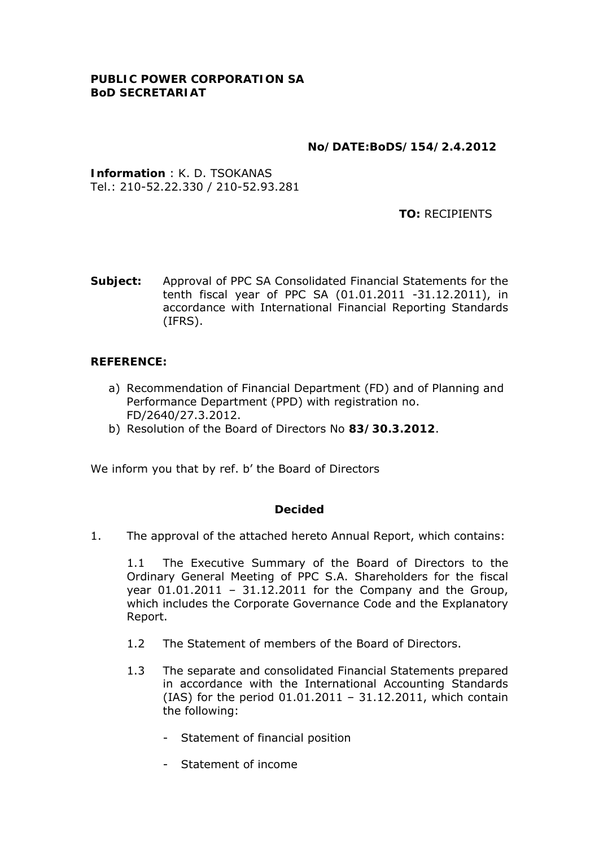### **No/DATE:BoDS/154/2.4.2012**

**Information** : K. D. TSOKANAS Tel.: 210-52.22.330 / 210-52.93.281

 **TO:** RECIPIENTS

**Subject:** Approval of PPC SA Consolidated Financial Statements for the tenth fiscal year of PPC SA (01.01.2011 -31.12.2011), in accordance with International Financial Reporting Standards (IFRS).

### **REFERENCE:**

- a) Recommendation of Financial Department (FD) and of Planning and Performance Department (PPD) with registration no. FD/2640/27.3.2012.
- b) Resolution of the Board of Directors No **83/30.3.2012**.

We inform you that by ref. b' the Board of Directors

#### **Decided**

1. The approval of the attached hereto Annual Report, which contains:

1.1 The Executive Summary of the Board of Directors to the Ordinary General Meeting of PPC S.A. Shareholders for the fiscal year  $01.01.2011 - 31.12.2011$  for the Company and the Group, which includes the Corporate Governance Code and the Explanatory Report.

- 1.2 The Statement of members of the Board of Directors.
- 1.3 The separate and consolidated Financial Statements prepared in accordance with the International Accounting Standards (IAS) for the period 01.01.2011 – 31.12.2011, which contain the following:
	- Statement of financial position
	- Statement of income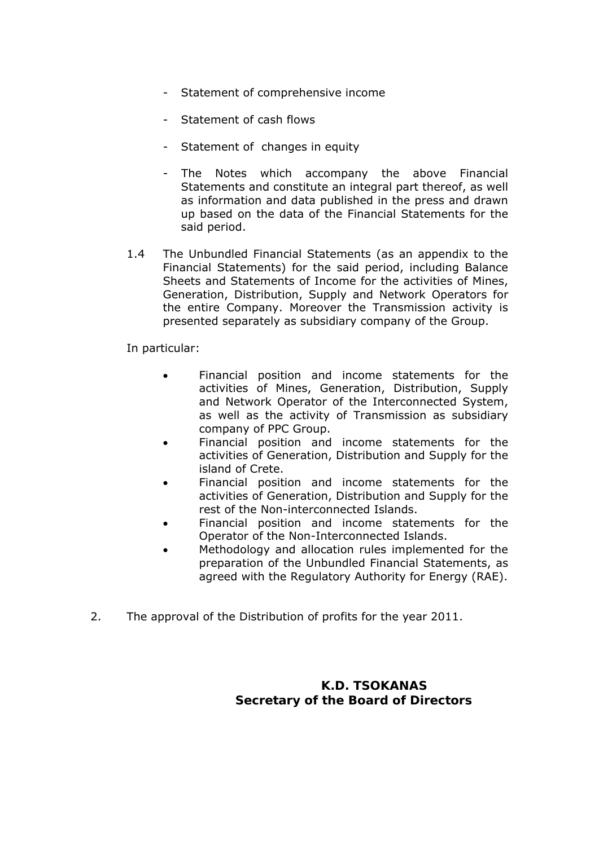- Statement of comprehensive income
- Statement of cash flows
- Statement of changes in equity
- The Notes which accompany the above Financial Statements and constitute an integral part thereof, as well as information and data published in the press and drawn up based on the data of the Financial Statements for the said period.
- 1.4 The Unbundled Financial Statements (as an appendix to the Financial Statements) for the said period, including Balance Sheets and Statements of Income for the activities of Mines, Generation, Distribution, Supply and Network Operators for the entire Company. Moreover the Transmission activity is presented separately as subsidiary company of the Group.

In particular:

- Financial position and income statements for the activities of Mines, Generation, Distribution, Supply and Network Operator of the Interconnected System, as well as the activity of Transmission as subsidiary company of PPC Group.
- Financial position and income statements for the activities of Generation, Distribution and Supply for the island of Crete.
- Financial position and income statements for the activities of Generation, Distribution and Supply for the rest of the Non-interconnected Islands.
- Financial position and income statements for the Operator of the Non-Interconnected Islands.
- Methodology and allocation rules implemented for the preparation of the Unbundled Financial Statements, as agreed with the Regulatory Authority for Energy (RAE).
- 2. The approval of the Distribution of profits for the year 2011.

### **K.D. TSOKANAS Secretary of the Board of Directors**